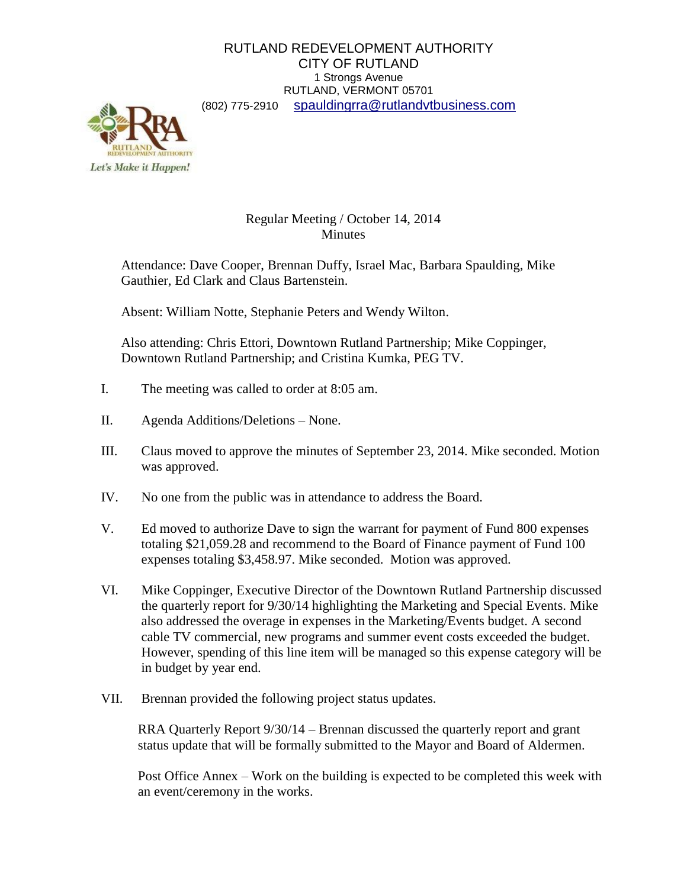## RUTLAND REDEVELOPMENT AUTHORITY CITY OF RUTLAND 1 Strongs Avenue RUTLAND, VERMONT 05701 (802) 775-2910 [spauldingrra@rutlandvtbusiness.com](mailto:allenrra@rutlandvtbusiness.com)



## Regular Meeting / October 14, 2014 Minutes

Attendance: Dave Cooper, Brennan Duffy, Israel Mac, Barbara Spaulding, Mike Gauthier, Ed Clark and Claus Bartenstein.

Absent: William Notte, Stephanie Peters and Wendy Wilton.

Also attending: Chris Ettori, Downtown Rutland Partnership; Mike Coppinger, Downtown Rutland Partnership; and Cristina Kumka, PEG TV.

- I. The meeting was called to order at 8:05 am.
- II. Agenda Additions/Deletions None.
- III. Claus moved to approve the minutes of September 23, 2014. Mike seconded. Motion was approved.
- IV. No one from the public was in attendance to address the Board.
- V. Ed moved to authorize Dave to sign the warrant for payment of Fund 800 expenses totaling \$21,059.28 and recommend to the Board of Finance payment of Fund 100 expenses totaling \$3,458.97. Mike seconded. Motion was approved.
- VI. Mike Coppinger, Executive Director of the Downtown Rutland Partnership discussed the quarterly report for 9/30/14 highlighting the Marketing and Special Events. Mike also addressed the overage in expenses in the Marketing/Events budget. A second cable TV commercial, new programs and summer event costs exceeded the budget. However, spending of this line item will be managed so this expense category will be in budget by year end.
- VII. Brennan provided the following project status updates.

RRA Quarterly Report 9/30/14 – Brennan discussed the quarterly report and grant status update that will be formally submitted to the Mayor and Board of Aldermen.

Post Office Annex – Work on the building is expected to be completed this week with an event/ceremony in the works.